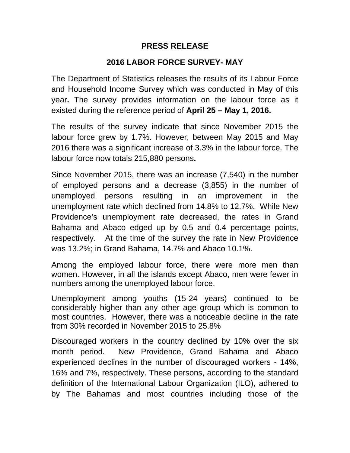# **PRESS RELEASE**

# **2016 LABOR FORCE SURVEY- MAY**

The Department of Statistics releases the results of its Labour Force and Household Income Survey which was conducted in May of this year**.** The survey provides information on the labour force as it existed during the reference period of **April 25 – May 1, 2016.**

The results of the survey indicate that since November 2015 the labour force grew by 1.7%. However, between May 2015 and May 2016 there was a significant increase of 3.3% in the labour force. The labour force now totals 215,880 persons**.** 

Since November 2015, there was an increase (7,540) in the number of employed persons and a decrease (3,855) in the number of unemployed persons resulting in an improvement in the unemployment rate which declined from 14.8% to 12.7%. While New Providence's unemployment rate decreased, the rates in Grand Bahama and Abaco edged up by 0.5 and 0.4 percentage points, respectively. At the time of the survey the rate in New Providence was 13.2%; in Grand Bahama, 14.7% and Abaco 10.1%.

Among the employed labour force, there were more men than women. However, in all the islands except Abaco, men were fewer in numbers among the unemployed labour force.

Unemployment among youths (15-24 years) continued to be considerably higher than any other age group which is common to most countries. However, there was a noticeable decline in the rate from 30% recorded in November 2015 to 25.8%

Discouraged workers in the country declined by 10% over the six month period. New Providence, Grand Bahama and Abaco experienced declines in the number of discouraged workers - 14%, 16% and 7%, respectively. These persons, according to the standard definition of the International Labour Organization (ILO), adhered to by The Bahamas and most countries including those of the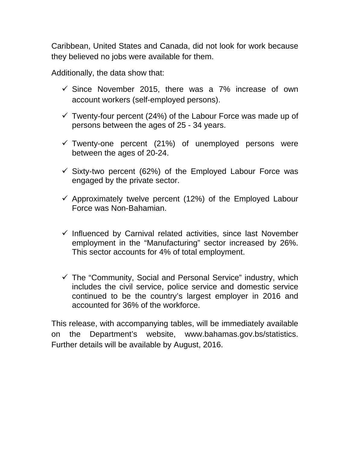Caribbean, United States and Canada, did not look for work because they believed no jobs were available for them.

Additionally, the data show that:

- $\checkmark$  Since November 2015, there was a 7% increase of own account workers (self-employed persons).
- $\checkmark$  Twenty-four percent (24%) of the Labour Force was made up of persons between the ages of 25 - 34 years.
- $\checkmark$  Twenty-one percent (21%) of unemployed persons were between the ages of 20-24.
- $\checkmark$  Sixty-two percent (62%) of the Employed Labour Force was engaged by the private sector.
- $\checkmark$  Approximately twelve percent (12%) of the Employed Labour Force was Non-Bahamian.
- $\checkmark$  Influenced by Carnival related activities, since last November employment in the "Manufacturing" sector increased by 26%. This sector accounts for 4% of total employment.
- $\checkmark$  The "Community, Social and Personal Service" industry, which includes the civil service, police service and domestic service continued to be the country's largest employer in 2016 and accounted for 36% of the workforce.

This release, with accompanying tables, will be immediately available on the Department's website, www.bahamas.gov.bs/statistics. Further details will be available by August, 2016.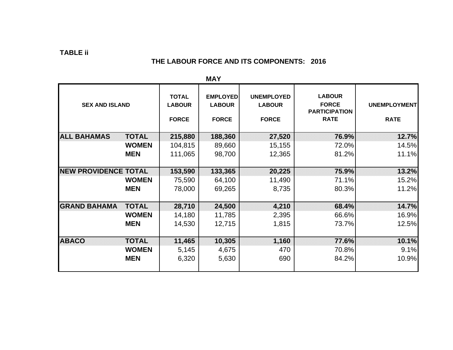## **TABLE ii**

### **THE LABOUR FORCE AND ITS COMPONENTS: 2016**

|                                     |                                               | IVIM I                                           |                                                    |                                                                      |                                    |  |  |
|-------------------------------------|-----------------------------------------------|--------------------------------------------------|----------------------------------------------------|----------------------------------------------------------------------|------------------------------------|--|--|
| <b>SEX AND ISLAND</b>               | <b>TOTAL</b><br><b>LABOUR</b><br><b>FORCE</b> | <b>EMPLOYED</b><br><b>LABOUR</b><br><b>FORCE</b> | <b>UNEMPLOYED</b><br><b>LABOUR</b><br><b>FORCE</b> | <b>LABOUR</b><br><b>FORCE</b><br><b>PARTICIPATION</b><br><b>RATE</b> | <b>UNEMPLOYMENT</b><br><b>RATE</b> |  |  |
| <b>ALL BAHAMAS</b><br><b>TOTAL</b>  | 215,880                                       | 188,360                                          | 27,520                                             | 76.9%                                                                | 12.7%                              |  |  |
| <b>WOMEN</b>                        | 104,815                                       | 89,660                                           | 15,155                                             | 72.0%                                                                | 14.5%                              |  |  |
| <b>MEN</b>                          | 111,065                                       | 98,700                                           | 12,365                                             | 81.2%                                                                | 11.1%                              |  |  |
|                                     |                                               |                                                  |                                                    |                                                                      |                                    |  |  |
| <b>NEW PROVIDENCE TOTAL</b>         | 153,590                                       | 133,365                                          | 20,225                                             | 75.9%                                                                | 13.2%                              |  |  |
| <b>WOMEN</b>                        | 75,590                                        | 64,100                                           | 11,490                                             | 71.1%                                                                | 15.2%                              |  |  |
| <b>MEN</b>                          | 78,000                                        | 69,265                                           | 8,735                                              | 80.3%                                                                | 11.2%                              |  |  |
|                                     |                                               |                                                  |                                                    |                                                                      |                                    |  |  |
| <b>GRAND BAHAMA</b><br><b>TOTAL</b> | 28,710                                        | 24,500                                           | 4,210                                              | 68.4%                                                                | 14.7%                              |  |  |
| <b>WOMEN</b>                        | 14,180                                        | 11,785                                           | 2,395                                              | 66.6%                                                                | 16.9%                              |  |  |
| <b>MEN</b>                          | 14,530                                        | 12,715                                           | 1,815                                              | 73.7%                                                                | 12.5%                              |  |  |
|                                     |                                               |                                                  |                                                    |                                                                      |                                    |  |  |
| <b>IABACO</b><br><b>TOTAL</b>       | 11,465                                        | 10,305                                           | 1,160                                              | 77.6%                                                                | 10.1%                              |  |  |
| <b>WOMEN</b>                        | 5,145                                         | 4,675                                            | 470                                                | 70.8%                                                                | 9.1%                               |  |  |
| <b>MEN</b>                          | 6,320                                         | 5,630                                            | 690                                                | 84.2%                                                                | 10.9%                              |  |  |
|                                     |                                               |                                                  |                                                    |                                                                      |                                    |  |  |

**MAY**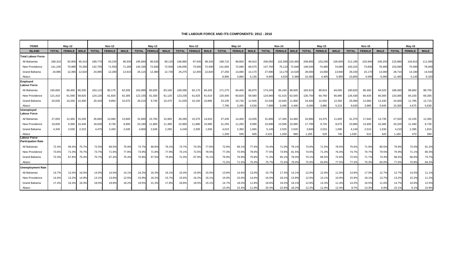#### **THE LABOUR FORCE AND ITS COMPONENTS: 2012 - 2016**

| <b>ITEMS</b>                              |              | <b>May-12</b> |             |              | <b>Nov-12</b> |             |              | Mav-13        |             |              | <b>Nov-13</b> |               |              | $May-14$      |             |              | <b>Nov-14</b> |                 |              | $May-15$      |             |              | <b>Nov-15</b> |             |              | $May-16$      |             |
|-------------------------------------------|--------------|---------------|-------------|--------------|---------------|-------------|--------------|---------------|-------------|--------------|---------------|---------------|--------------|---------------|-------------|--------------|---------------|-----------------|--------------|---------------|-------------|--------------|---------------|-------------|--------------|---------------|-------------|
| <b>ISLAND</b>                             | <b>TOTAL</b> | <b>FEMALE</b> | <b>MALE</b> | <b>TOTAL</b> | <b>FEMALE</b> | <b>MALE</b> | <b>TOTAL</b> | <b>FEMALE</b> | <b>MALE</b> | <b>TOTAL</b> | <b>FEMALE</b> | <b>MALE</b>   | <b>TOTAL</b> | <b>FEMALE</b> | <b>MALE</b> | <b>TOTAL</b> | <b>FEMALE</b> | <b>MALE</b>     | <b>TOTAL</b> | <b>FEMALE</b> | <b>MALE</b> | <b>TOTAL</b> | <b>FEMALE</b> | <b>MALE</b> | <b>TOTAL</b> | <b>FEMALE</b> | <b>MALE</b> |
| <b>Total Labour Force</b>                 |              |               |             |              |               |             |              |               |             |              |               |               |              |               |             |              |               |                 |              |               |             |              |               |             |              |               |             |
| All Bahamas                               | 188,310      | 92,900        | 95,410      | 189,770      | 93,235        | 96,535      | 195,660      | 96.535        | 99,125      | 196,880      | 97,545        | 99,335        | 198,710      | 98,800        | 99,910      | 206,050      |               | 102,585 103,465 | 208,895      | 103,290       | 105,605     | 212,195      | 103,940       | 108,255     | 215,880      | 104,815       | 111,065     |
| New Providence                            | 141.245      | 70,985        | 70,260      | 142.755      | 71,550        | 71,205      | 145,335      | 72,830        | 72,505      | 146,095      | 73,505        | 72,590        | 141,655      | 72,080        | 69,575      | 147,750      | 75,110        | 72,640          | 148,545      | 74,480        | 74.065      | 150,315      | 73,830        | 76,485      | 153,590      | 75,590        | 78,000      |
| <b>Grand Bahama</b>                       | 24.985       | 12,365        | 12,620      | 24,895       | 12,280        | 12,615      | 25,115       | 12,380        | 12,735      | 25,275       | 12,455        | 12,820        | 27,250       | 13,080        | 14,170      | 27.690       | 13,170        | 14,520          | 28,000       | 14,060        | 13,940      | 29,230       | 15,170        | 14,060      | 28,710       | 14.180        | 14,530      |
| Abaco                                     |              |               |             |              |               |             |              |               |             |              |               |               | 8,995        | 3,860         | 5,135       | 9.905        | 4,525         | 5,380           | 10,360       | 4,405         | 5,955       | 10,660       | 4,595         | 6,065       | 11,465       | 5.145         | 6,320       |
| Employed<br><b>Labour Force</b>           |              |               |             |              |               |             |              |               |             |              |               |               |              |               |             |              |               |                 |              |               |             |              |               |             |              |               |             |
| All Bahamas                               | 160,650      | 80,450 80,200 |             | 163.110      | 80,175        | 82,935      | 163,995      | 80.835        | 83,160      | 166,595      |               | 82,170 84,425 | 171,275      | 84,400        | 86,875      | 174,245      | 85.240 89.005 |                 | 183,915      | 89.915        | 94,000      | 180,820      | 86.300        | 94,520      | 188,360      | 89.660        | 98,700      |
| New Providence                            | 121.410      | 61,590 59,820 |             | 124.125      | 61,820        | 62,305      | 122,155      | 61,030        | 61,125      | 123,235      | 61.625        | 61.610        | 120.400      | 60.820        | 59,580      | 124,060      |               | 61.515 62.545   | 130,750      | 64.760        | 65,990      | 126,430      | 60.430        | 66,000      | 133,365      | 64.100        | 69,265      |
| <b>Grand Bahama</b>                       | 20.635       | 10.335        | 10,300      | 20.420       | 9,850         | 10,570      | 20,215       | 9.745         | 10,470      | 21,035       | 10,150        | 10,885        | 23,235       | 10,730        | 12,505      | 22,545       | 10,645        | 11,900          | 24.400       | 12,050        | 12,350      | 25,090       | 12,660        | 12.430      | 24,500       | 11.785        | 12,715      |
| Abaco                                     |              |               |             |              |               |             |              |               |             |              |               |               | 7,795        | 3,265         | 4,530       | 7,895        | 3,495         | 4,400           | 9,095        | 3,880         | 5,215       | 9,630        | 3,985         | 5,645       | 10,305       | 4,675         | 5,630       |
| Unemploved<br><b>Labour Force</b>         |              |               |             |              |               |             |              |               |             |              |               |               |              |               |             |              |               |                 |              |               |             |              |               |             |              |               |             |
| All Bahamas                               | 27,655       | 12,450 15,205 |             | 26,660       | 13,060        | 13,600      | 31.665       | 15.700        | 15,965      | 30,285       | 15,375        | 14.910        | 27,435       | 14,400        | 13,035      | 31.805       |               | 17,345 14,460   | 24,980       | 13,375        | 11.605      | 31,375       | 17,640        | 13,735      | 27,520       | 15,155        | 12,365      |
| New Providence                            | 19.830       | 9.390         | 10,440      | 18.630       | 9,730         | 8,900       | 23,180       | 11,800        | 11,380      | 22,860       | 11,880        | 10,980        | 21,255       | 11,260        | 9,995       | 23,690       | 13,595        | 10,095          | 17,795       | 9,720         | 8,075       | 23,885       | 13,400        | 10,485      | 20,225       | 11,490        | 8,735       |
| <b>Grand Bahama</b>                       | 4.345        | 2,030         | 2,315       | 4.475        | 2,430         | 2,045       | 4.900        | 2,635         | 2,265       | 4,240        | 2,305         | 1,935         | 4.015        | 2,350         | 1,665       | 5.145        | 2,525         | 2,620           | 3.600        | 2,010         | 1,590       | 4.140        | 2,510         | 1,630       | 4,210        | 2,395         | 1,815       |
| Abaco                                     |              |               |             |              |               |             |              |               |             |              |               |               | 1,200        | 595           | 605         | 2,010        | 1,030         | 980             | 1,265        | 525           | 740         | 1,030        | 610           | 420         | 1,160        | 470           | 690         |
| Labour Force<br><b>Participation Rate</b> |              |               |             |              |               |             |              |               |             |              |               |               |              |               |             |              |               |                 |              |               |             |              |               |             |              |               |             |
| All Bahamas                               | 72.4%        | 69.4%         | 75.7%       | 72.5%        | 69.5%         | 75.9%       | 72.7%        | 69.8%         | 76.1%       | 73.7%        | 70.3%         | 77.6%         | 72.9%        | 69.1%         | 77.4%       | 74.4%        | 71.0%         | 78.1%           | 73.0%        | 71.5%         | 78.5%       | 75.6%        | 71.9%         | 80.5%       | 76.9%        | 72.0%         | 81.2%       |
| New Providence                            | 73.6%        | 71.0%         | 76.7%       | 73.7%        | 71.6%         | 77.8%       | 73.9%        | 71.8%         | 77.9%       | 74.1%        | 72.5%         | 78.5%         | 77.3%        | 70.9%         | 78.0%       | 77.5%        | 73.9%         | 81.5%           | 74.5%        | 71.3%         | 76.4%       | 74.7%        | 70.7%         | 79.5%       | 75.9%        | 71.1%         | 80.3%       |
| <b>Grand Bahama</b>                       | 72.3%        | 67.8%         | 75.4%       | 70.7%        | 67.4%         | 75.4%       | 70.8%        | 67.5%         | 75.6%       | 71.0%        | 67.9%         | 76.1%         | 76.9%        | 76.9%         | 75.8%       | 71.3%        | 65.1%         | 78.0%           | 70.1%        | 66.5%         | 72.6%       | 72.5%        | 71.7%         | 73.3%       | 68.4%        | 66.6%         | 73.7%       |
| Abaco                                     |              |               |             |              |               |             |              |               |             |              |               |               | 71.5%        | 71.5%         | 75.4%       | 75.7%        | 72.4%         | 79.0%           | 75.5%        | 63.8%         | 77.5%       | 77.3%        | 70.3%         | 84.0%       | 77.6%        | 70.8%         | 84.2%       |
| <b>Unemployment Rate</b>                  |              |               |             |              |               |             |              |               |             |              |               |               |              |               |             |              |               |                 |              |               |             |              |               |             |              |               |             |
| All Bahamas                               | 14.7%        | 13.4%         | 16.0%       | 14.0%        | 14.0%         | 14.1%       | 16.2%        | 16.3%         | 16.19       | 15.4%        | 15.8%         | 15.0%         | 13.8%        | 14.6%         | 13.0%       | 15.7%        | 17.3%         | 14.1%           | 12.0%        | 12.9%         | 11.0%       | 14.8%        | 17.0%         | 12.7%       | 12.7%        | 14.5%         | 11.1%       |
| New Providence                            | 14.0%        | 13.2%         | 14.9%       | 13.1%        | 13.6%         | 12.5%       | 15.9%        | 16.2%         | 15.7%       | 15.6%        | 16.2%         | 15.1%         | 15.0%        | 15.6%         | 14.4%       | 16.0%        | 18.1%         | 13.9%           | 12.0%        | 13.1%         | 10.9%       | 15.9%        | 18.1%         | 13.7%       | 13.2%        | 15.2%         | 11.2%       |
| <b>Grand Bahama</b>                       | 17.4%        | 16.4%         | 18.3%       | 18.0%        | 19.8%         | 16.2%       | 19.5%        | 21.3%         | 17.8%       | 16.8%        | 18.5%         | 15.1%         | 14.7%        | 18.0%         | 11.8%       | 18.6%        | 19.2%         | 18.1%           | 12.9%        | 14.3%         | 11.4%       | 14.2%        | 16.5%         | 11.6%       | 14.7%        | 16.9%         | 12.5%       |
| Abaco                                     |              |               |             |              |               |             |              |               |             |              |               |               | 13.3%        | 15.4%         | 11.8%       | 20.3%        | 22.8%         | 18.2%           | 12.2%        | 11.9%         | 12.4%       | 9.7%         | 13.3%         | 6.9%        | 10.1%        | 9.1%          | 10.9%       |